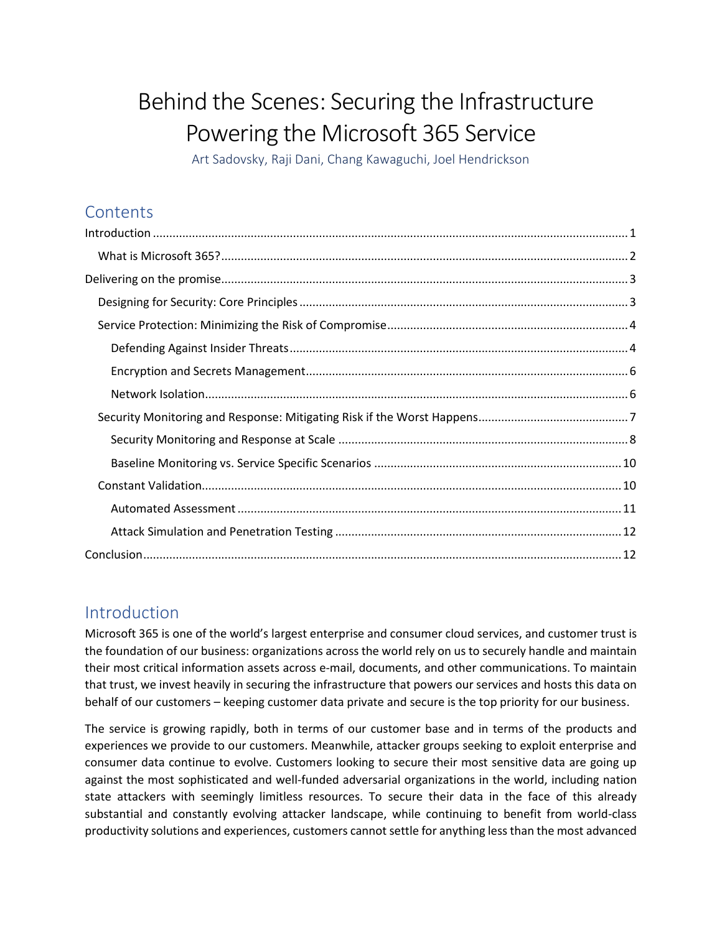# Behind the Scenes: Securing the Infrastructure Powering the Microsoft 365 Service

Art Sadovsky, Raji Dani, Chang Kawaguchi, Joel Hendrickson

# **Contents**

## <span id="page-0-0"></span>Introduction

Microsoft 365 is one of the world's largest enterprise and consumer cloud services, and customer trust is the foundation of our business: organizations across the world rely on us to securely handle and maintain their most critical information assets across e-mail, documents, and other communications. To maintain that trust, we invest heavily in securing the infrastructure that powers our services and hosts this data on behalf of our customers – keeping customer data private and secure is the top priority for our business.

The service is growing rapidly, both in terms of our customer base and in terms of the products and experiences we provide to our customers. Meanwhile, attacker groups seeking to exploit enterprise and consumer data continue to evolve. Customers looking to secure their most sensitive data are going up against the most sophisticated and well-funded adversarial organizations in the world, including nation state attackers with seemingly limitless resources. To secure their data in the face of this already substantial and constantly evolving attacker landscape, while continuing to benefit from world-class productivity solutions and experiences, customers cannot settle for anything less than the most advanced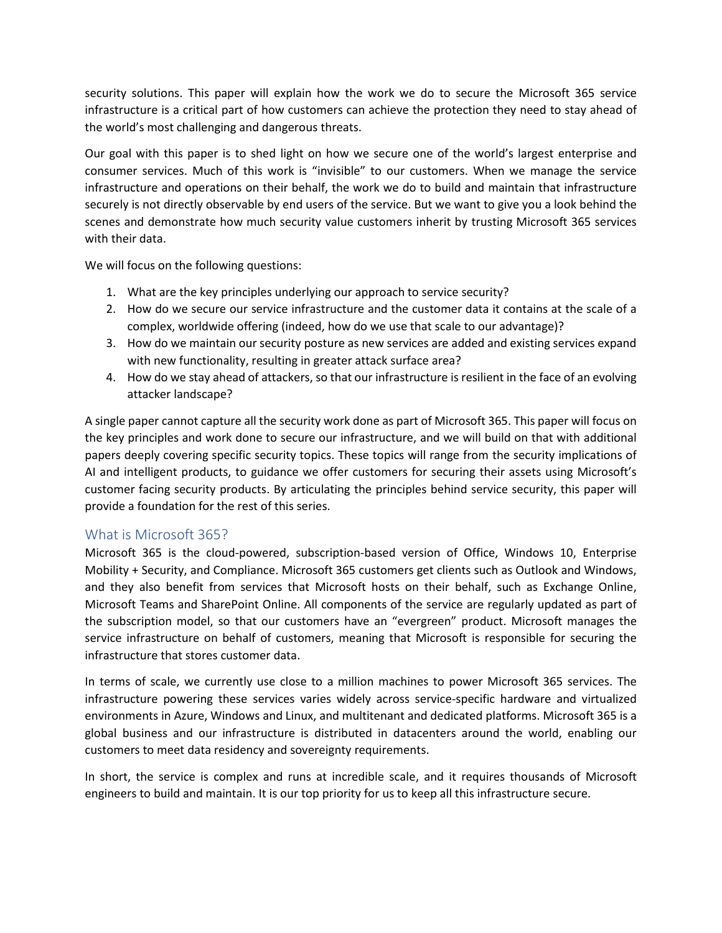security solutions. This paper will explain how the work we do to secure the Microsoft 365 service infrastructure is a critical part of how customers can achieve the protection they need to stay ahead of the world's most challenging and dangerous threats.

Our goal with this paper is to shed light on how we secure one of the world's largest enterprise and consumer services. Much of this work is "invisible" to our customers. When we manage the service infrastructure and operations on their behalf, the work we do to build and maintain that infrastructure securely is not directly observable by end users of the service. But we want to give you a look behind the scenes and demonstrate how much security value customers inherit by trusting Microsoft 365 services with their data.

We will focus on the following questions:

- 1. What are the key principles underlying our approach to service security?
- 2. How do we secure our service infrastructure and the customer data it contains at the scale of a complex, worldwide offering (indeed, how do we use that scale to our advantage)?
- 3. How do we maintain our security posture as new services are added and existing services expand with new functionality, resulting in greater attack surface area?
- 4. How do we stay ahead of attackers, so that our infrastructure is resilient in the face of an evolving attacker landscape?

A single paper cannot capture all the security work done as part of Microsoft 365. This paper will focus on the key principles and work done to secure our infrastructure, and we will build on that with additional papers deeply covering specific security topics. These topics will range from the security implications of AI and intelligent products, to guidance we offer customers for securing their assets using Microsoft's customer facing security products. By articulating the principles behind service security, this paper will provide a foundation for the rest of this series.

#### <span id="page-1-0"></span>What is Microsoft 365?

Microsoft 365 is the cloud-powered, subscription-based version of Office, Windows 10, Enterprise Mobility + Security, and Compliance. Microsoft 365 customers get clients such as Outlook and Windows, and they also benefit from services that Microsoft hosts on their behalf, such as Exchange Online, Microsoft Teams and SharePoint Online. All components of the service are regularly updated as part of the subscription model, so that our customers have an "evergreen" product. Microsoft manages the service infrastructure on behalf of customers, meaning that Microsoft is responsible for securing the infrastructure that stores customer data.

In terms of scale, we currently use close to a million machines to power Microsoft 365 services. The infrastructure powering these services varies widely across service-specific hardware and virtualized environments in Azure, Windows and Linux, and multitenant and dedicated platforms. Microsoft 365 is a global business and our infrastructure is distributed in datacenters around the world, enabling our customers to meet data residency and sovereignty requirements.

In short, the service is complex and runs at incredible scale, and it requires thousands of Microsoft engineers to build and maintain. It is our top priority for us to keep all this infrastructure secure.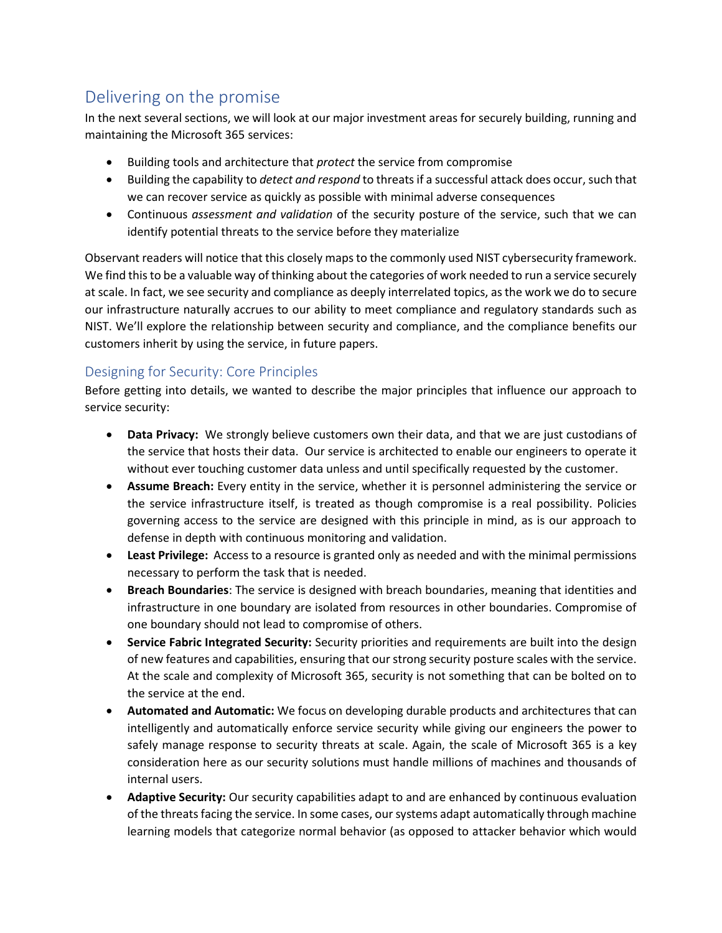# <span id="page-2-0"></span>Delivering on the promise

In the next several sections, we will look at our major investment areas for securely building, running and maintaining the Microsoft 365 services:

- Building tools and architecture that *protect* the service from compromise
- Building the capability to *detect and respond* to threats if a successful attack does occur, such that we can recover service as quickly as possible with minimal adverse consequences
- Continuous *assessment and validation* of the security posture of the service, such that we can identify potential threats to the service before they materialize

Observant readers will notice that this closely maps to the commonly used NIST cybersecurity framework. We find this to be a valuable way of thinking about the categories of work needed to run a service securely at scale. In fact, we see security and compliance as deeply interrelated topics, asthe work we do to secure our infrastructure naturally accrues to our ability to meet compliance and regulatory standards such as NIST. We'll explore the relationship between security and compliance, and the compliance benefits our customers inherit by using the service, in future papers.

#### <span id="page-2-1"></span>Designing for Security: Core Principles

Before getting into details, we wanted to describe the major principles that influence our approach to service security:

- **Data Privacy:** We strongly believe customers own their data, and that we are just custodians of the service that hosts their data. Our service is architected to enable our engineers to operate it without ever touching customer data unless and until specifically requested by the customer.
- **Assume Breach:** Every entity in the service, whether it is personnel administering the service or the service infrastructure itself, is treated as though compromise is a real possibility. Policies governing access to the service are designed with this principle in mind, as is our approach to defense in depth with continuous monitoring and validation.
- **Least Privilege:** Access to a resource is granted only as needed and with the minimal permissions necessary to perform the task that is needed.
- **Breach Boundaries**: The service is designed with breach boundaries, meaning that identities and infrastructure in one boundary are isolated from resources in other boundaries. Compromise of one boundary should not lead to compromise of others.
- **Service Fabric Integrated Security:** Security priorities and requirements are built into the design of new features and capabilities, ensuring that our strong security posture scales with the service. At the scale and complexity of Microsoft 365, security is not something that can be bolted on to the service at the end.
- **Automated and Automatic:** We focus on developing durable products and architectures that can intelligently and automatically enforce service security while giving our engineers the power to safely manage response to security threats at scale. Again, the scale of Microsoft 365 is a key consideration here as our security solutions must handle millions of machines and thousands of internal users.
- **Adaptive Security:** Our security capabilities adapt to and are enhanced by continuous evaluation of the threats facing the service. In some cases, our systems adapt automatically through machine learning models that categorize normal behavior (as opposed to attacker behavior which would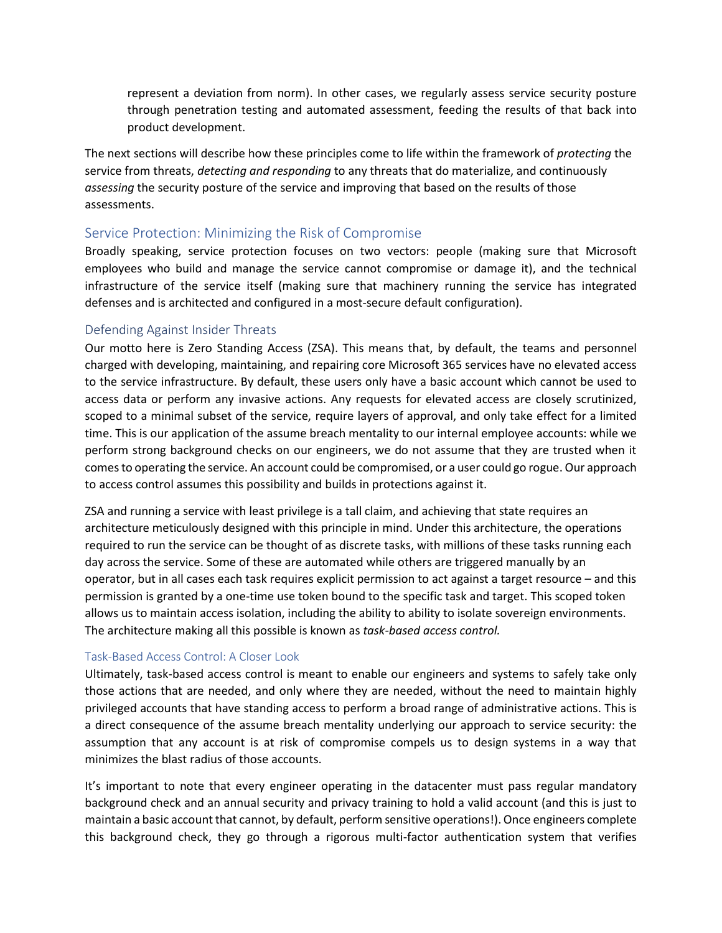represent a deviation from norm). In other cases, we regularly assess service security posture through penetration testing and automated assessment, feeding the results of that back into product development.

The next sections will describe how these principles come to life within the framework of *protecting* the service from threats, *detecting and responding* to any threats that do materialize, and continuously *assessing* the security posture of the service and improving that based on the results of those assessments.

#### <span id="page-3-0"></span>Service Protection: Minimizing the Risk of Compromise

Broadly speaking, service protection focuses on two vectors: people (making sure that Microsoft employees who build and manage the service cannot compromise or damage it), and the technical infrastructure of the service itself (making sure that machinery running the service has integrated defenses and is architected and configured in a most-secure default configuration).

#### <span id="page-3-1"></span>Defending Against Insider Threats

Our motto here is Zero Standing Access (ZSA). This means that, by default, the teams and personnel charged with developing, maintaining, and repairing core Microsoft 365 services have no elevated access to the service infrastructure. By default, these users only have a basic account which cannot be used to access data or perform any invasive actions. Any requests for elevated access are closely scrutinized, scoped to a minimal subset of the service, require layers of approval, and only take effect for a limited time. This is our application of the assume breach mentality to our internal employee accounts: while we perform strong background checks on our engineers, we do not assume that they are trusted when it comes to operating the service. An account could be compromised, or a user could go rogue. Our approach to access control assumes this possibility and builds in protections against it.

ZSA and running a service with least privilege is a tall claim, and achieving that state requires an architecture meticulously designed with this principle in mind. Under this architecture, the operations required to run the service can be thought of as discrete tasks, with millions of these tasks running each day across the service. Some of these are automated while others are triggered manually by an operator, but in all cases each task requires explicit permission to act against a target resource – and this permission is granted by a one-time use token bound to the specific task and target. This scoped token allows us to maintain access isolation, including the ability to ability to isolate sovereign environments. The architecture making all this possible is known as *task-based access control.*

#### Task-Based Access Control: A Closer Look

Ultimately, task-based access control is meant to enable our engineers and systems to safely take only those actions that are needed, and only where they are needed, without the need to maintain highly privileged accounts that have standing access to perform a broad range of administrative actions. This is a direct consequence of the assume breach mentality underlying our approach to service security: the assumption that any account is at risk of compromise compels us to design systems in a way that minimizes the blast radius of those accounts.

It's important to note that every engineer operating in the datacenter must pass regular mandatory background check and an annual security and privacy training to hold a valid account (and this is just to maintain a basic account that cannot, by default, perform sensitive operations!). Once engineers complete this background check, they go through a rigorous multi-factor authentication system that verifies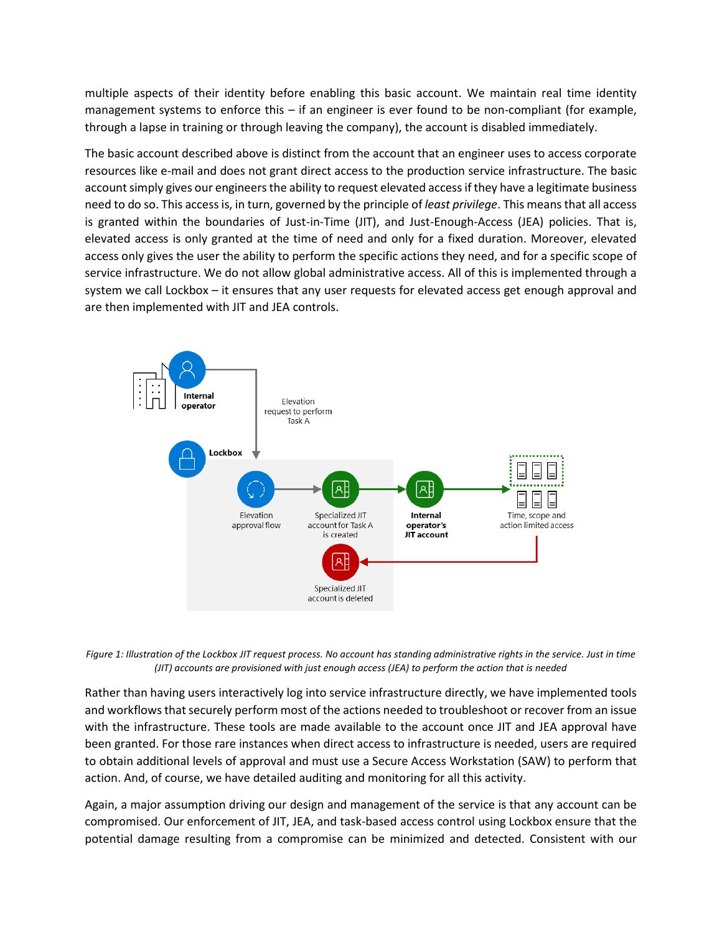multiple aspects of their identity before enabling this basic account. We maintain real time identity management systems to enforce this – if an engineer is ever found to be non-compliant (for example, through a lapse in training or through leaving the company), the account is disabled immediately.

The basic account described above is distinct from the account that an engineer uses to access corporate resources like e-mail and does not grant direct access to the production service infrastructure. The basic account simply gives our engineers the ability to request elevated access if they have a legitimate business need to do so. This access is, in turn, governed by the principle of *least privilege*. This means that all access is granted within the boundaries of Just-in-Time (JIT), and Just-Enough-Access (JEA) policies. That is, elevated access is only granted at the time of need and only for a fixed duration. Moreover, elevated access only gives the user the ability to perform the specific actions they need, and for a specific scope of service infrastructure. We do not allow global administrative access. All of this is implemented through a system we call Lockbox – it ensures that any user requests for elevated access get enough approval and are then implemented with JIT and JEA controls.



*Figure 1: Illustration of the Lockbox JIT request process. No account has standing administrative rights in the service. Just in time (JIT) accounts are provisioned with just enough access (JEA) to perform the action that is needed*

Rather than having users interactively log into service infrastructure directly, we have implemented tools and workflows that securely perform most of the actions needed to troubleshoot or recover from an issue with the infrastructure. These tools are made available to the account once JIT and JEA approval have been granted. For those rare instances when direct access to infrastructure is needed, users are required to obtain additional levels of approval and must use a Secure Access Workstation (SAW) to perform that action. And, of course, we have detailed auditing and monitoring for all this activity.

Again, a major assumption driving our design and management of the service is that any account can be compromised. Our enforcement of JIT, JEA, and task-based access control using Lockbox ensure that the potential damage resulting from a compromise can be minimized and detected. Consistent with our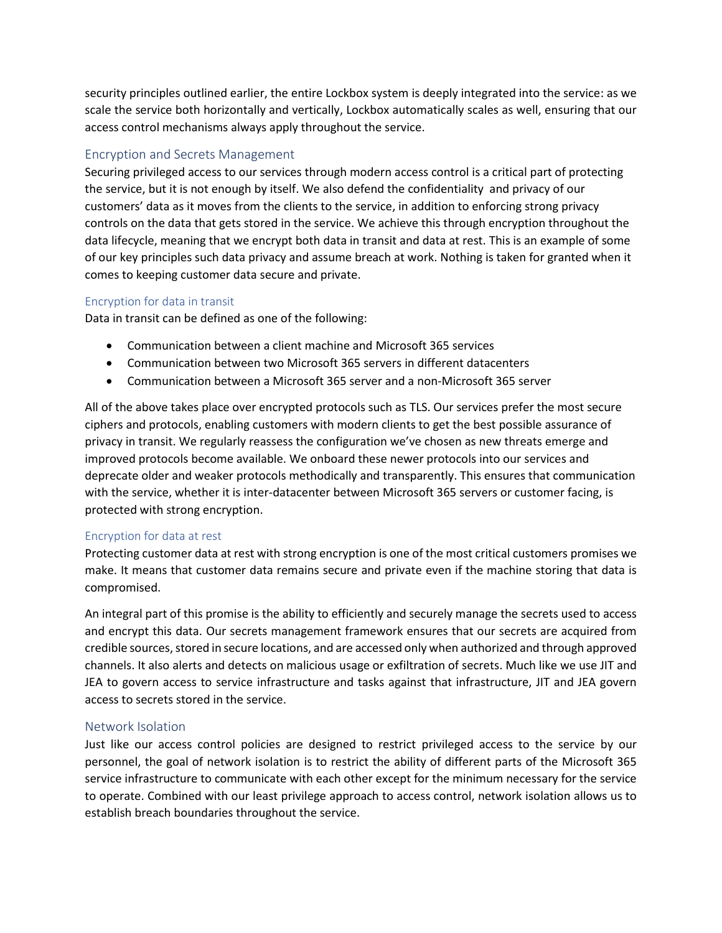security principles outlined earlier, the entire Lockbox system is deeply integrated into the service: as we scale the service both horizontally and vertically, Lockbox automatically scales as well, ensuring that our access control mechanisms always apply throughout the service.

#### <span id="page-5-0"></span>Encryption and Secrets Management

Securing privileged access to our services through modern access control is a critical part of protecting the service, but it is not enough by itself. We also defend the confidentiality and privacy of our customers' data as it moves from the clients to the service, in addition to enforcing strong privacy controls on the data that gets stored in the service. We achieve this through encryption throughout the data lifecycle, meaning that we encrypt both data in transit and data at rest. This is an example of some of our key principles such data privacy and assume breach at work. Nothing is taken for granted when it comes to keeping customer data secure and private.

#### Encryption for data in transit

Data in transit can be defined as one of the following:

- Communication between a client machine and Microsoft 365 services
- Communication between two Microsoft 365 servers in different datacenters
- Communication between a Microsoft 365 server and a non-Microsoft 365 server

All of the above takes place over encrypted protocols such as TLS. Our services prefer the most secure ciphers and protocols, enabling customers with modern clients to get the best possible assurance of privacy in transit. We regularly reassess the configuration we've chosen as new threats emerge and improved protocols become available. We onboard these newer protocols into our services and deprecate older and weaker protocols methodically and transparently. This ensures that communication with the service, whether it is inter-datacenter between Microsoft 365 servers or customer facing, is protected with strong encryption.

#### Encryption for data at rest

Protecting customer data at rest with strong encryption is one of the most critical customers promises we make. It means that customer data remains secure and private even if the machine storing that data is compromised.

An integral part of this promise is the ability to efficiently and securely manage the secrets used to access and encrypt this data. Our secrets management framework ensures that our secrets are acquired from credible sources, stored in secure locations, and are accessed only when authorized and through approved channels. It also alerts and detects on malicious usage or exfiltration of secrets. Much like we use JIT and JEA to govern access to service infrastructure and tasks against that infrastructure, JIT and JEA govern access to secrets stored in the service.

#### <span id="page-5-1"></span>Network Isolation

Just like our access control policies are designed to restrict privileged access to the service by our personnel, the goal of network isolation is to restrict the ability of different parts of the Microsoft 365 service infrastructure to communicate with each other except for the minimum necessary for the service to operate. Combined with our least privilege approach to access control, network isolation allows us to establish breach boundaries throughout the service.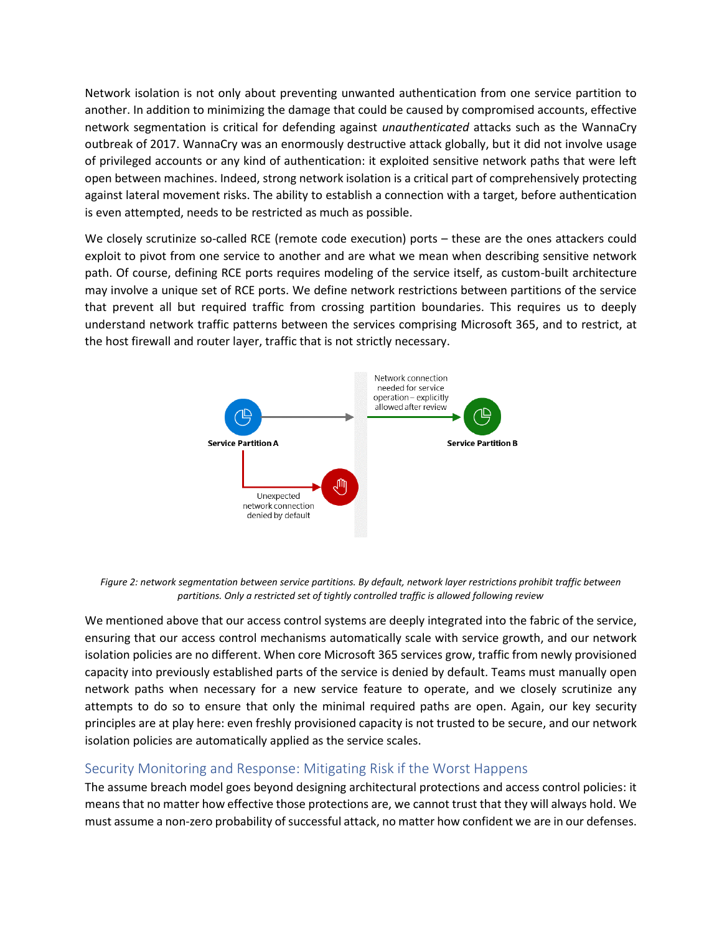Network isolation is not only about preventing unwanted authentication from one service partition to another. In addition to minimizing the damage that could be caused by compromised accounts, effective network segmentation is critical for defending against *unauthenticated* attacks such as the WannaCry outbreak of 2017. WannaCry was an enormously destructive attack globally, but it did not involve usage of privileged accounts or any kind of authentication: it exploited sensitive network paths that were left open between machines. Indeed, strong network isolation is a critical part of comprehensively protecting against lateral movement risks. The ability to establish a connection with a target, before authentication is even attempted, needs to be restricted as much as possible.

We closely scrutinize so-called RCE (remote code execution) ports – these are the ones attackers could exploit to pivot from one service to another and are what we mean when describing sensitive network path. Of course, defining RCE ports requires modeling of the service itself, as custom-built architecture may involve a unique set of RCE ports. We define network restrictions between partitions of the service that prevent all but required traffic from crossing partition boundaries. This requires us to deeply understand network traffic patterns between the services comprising Microsoft 365, and to restrict, at the host firewall and router layer, traffic that is not strictly necessary.



*Figure 2: network segmentation between service partitions. By default, network layer restrictions prohibit traffic between partitions. Only a restricted set of tightly controlled traffic is allowed following review*

We mentioned above that our access control systems are deeply integrated into the fabric of the service, ensuring that our access control mechanisms automatically scale with service growth, and our network isolation policies are no different. When core Microsoft 365 services grow, traffic from newly provisioned capacity into previously established parts of the service is denied by default. Teams must manually open network paths when necessary for a new service feature to operate, and we closely scrutinize any attempts to do so to ensure that only the minimal required paths are open. Again, our key security principles are at play here: even freshly provisioned capacity is not trusted to be secure, and our network isolation policies are automatically applied as the service scales.

#### <span id="page-6-0"></span>Security Monitoring and Response: Mitigating Risk if the Worst Happens

The assume breach model goes beyond designing architectural protections and access control policies: it means that no matter how effective those protections are, we cannot trust that they will always hold. We must assume a non-zero probability of successful attack, no matter how confident we are in our defenses.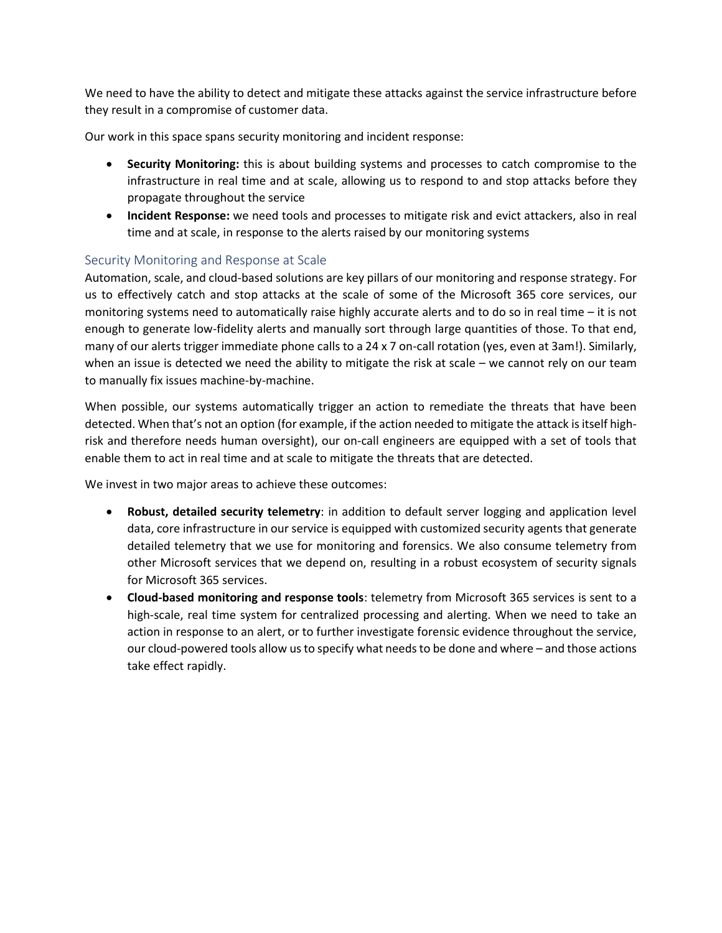We need to have the ability to detect and mitigate these attacks against the service infrastructure before they result in a compromise of customer data.

Our work in this space spans security monitoring and incident response:

- **Security Monitoring:** this is about building systems and processes to catch compromise to the infrastructure in real time and at scale, allowing us to respond to and stop attacks before they propagate throughout the service
- **Incident Response:** we need tools and processes to mitigate risk and evict attackers, also in real time and at scale, in response to the alerts raised by our monitoring systems

#### <span id="page-7-0"></span>Security Monitoring and Response at Scale

Automation, scale, and cloud-based solutions are key pillars of our monitoring and response strategy. For us to effectively catch and stop attacks at the scale of some of the Microsoft 365 core services, our monitoring systems need to automatically raise highly accurate alerts and to do so in real time – it is not enough to generate low-fidelity alerts and manually sort through large quantities of those. To that end, many of our alerts trigger immediate phone calls to a 24 x 7 on-call rotation (yes, even at 3am!). Similarly, when an issue is detected we need the ability to mitigate the risk at scale – we cannot rely on our team to manually fix issues machine-by-machine.

When possible, our systems automatically trigger an action to remediate the threats that have been detected. When that's not an option (for example, if the action needed to mitigate the attack is itself highrisk and therefore needs human oversight), our on-call engineers are equipped with a set of tools that enable them to act in real time and at scale to mitigate the threats that are detected.

We invest in two major areas to achieve these outcomes:

- **Robust, detailed security telemetry**: in addition to default server logging and application level data, core infrastructure in our service is equipped with customized security agents that generate detailed telemetry that we use for monitoring and forensics. We also consume telemetry from other Microsoft services that we depend on, resulting in a robust ecosystem of security signals for Microsoft 365 services.
- **Cloud-based monitoring and response tools**: telemetry from Microsoft 365 services is sent to a high-scale, real time system for centralized processing and alerting. When we need to take an action in response to an alert, or to further investigate forensic evidence throughout the service, our cloud-powered tools allow us to specify what needs to be done and where – and those actions take effect rapidly.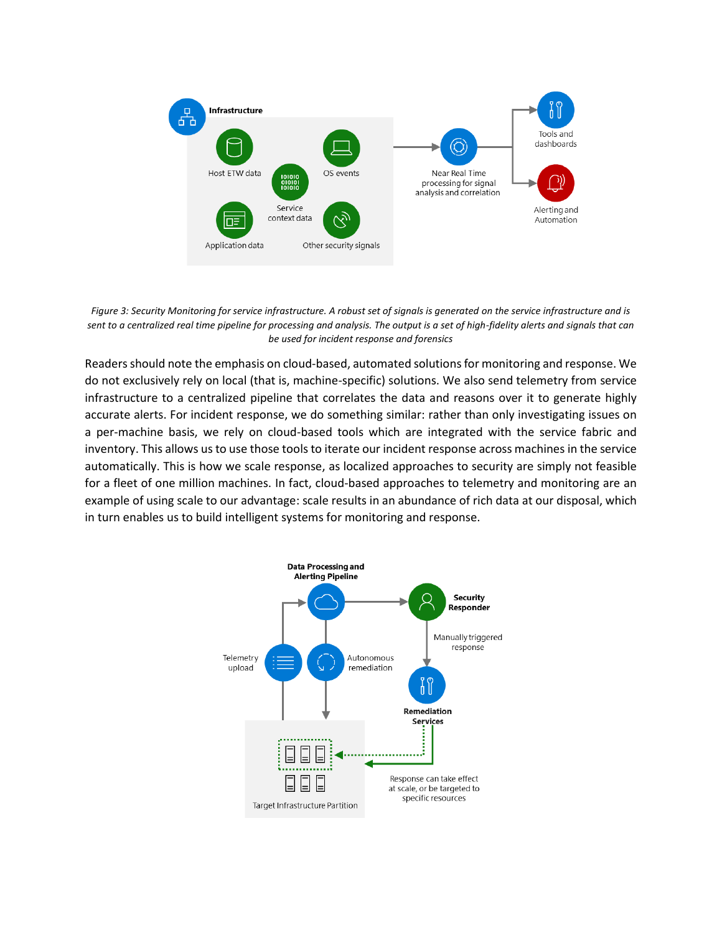

*Figure 3: Security Monitoring for service infrastructure. A robust set of signals is generated on the service infrastructure and is sent to a centralized real time pipeline for processing and analysis. The output is a set of high-fidelity alerts and signals that can be used for incident response and forensics*

Readers should note the emphasis on cloud-based, automated solutions for monitoring and response. We do not exclusively rely on local (that is, machine-specific) solutions. We also send telemetry from service infrastructure to a centralized pipeline that correlates the data and reasons over it to generate highly accurate alerts. For incident response, we do something similar: rather than only investigating issues on a per-machine basis, we rely on cloud-based tools which are integrated with the service fabric and inventory. This allows us to use those tools to iterate our incident response across machines in the service automatically. This is how we scale response, as localized approaches to security are simply not feasible for a fleet of one million machines. In fact, cloud-based approaches to telemetry and monitoring are an example of using scale to our advantage: scale results in an abundance of rich data at our disposal, which in turn enables us to build intelligent systems for monitoring and response.

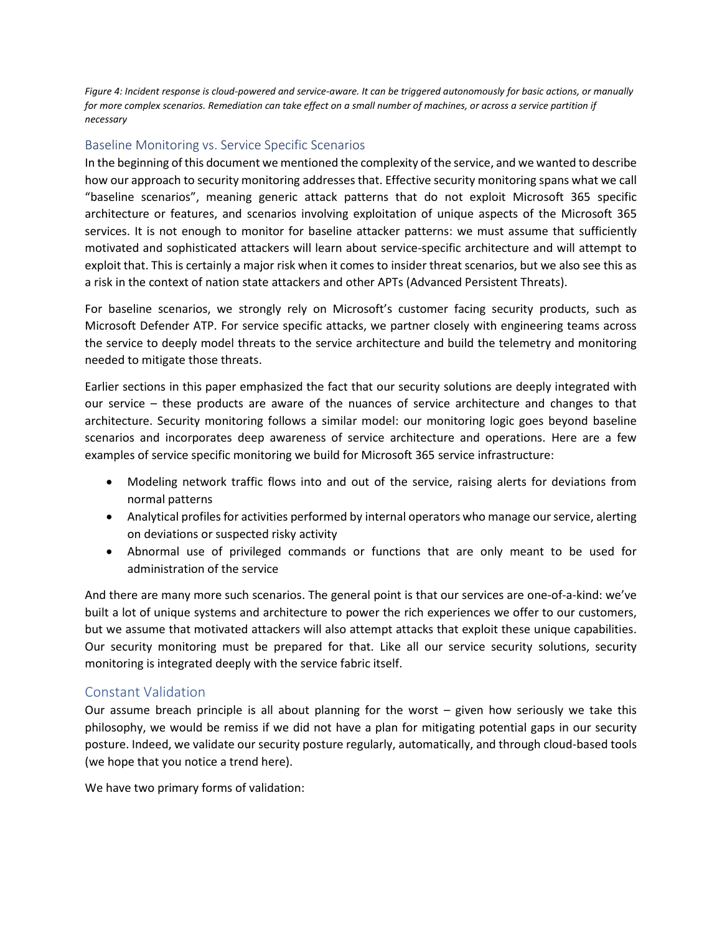*Figure 4: Incident response is cloud-powered and service-aware. It can be triggered autonomously for basic actions, or manually*  for more complex scenarios. Remediation can take effect on a small number of machines, or across a service partition if *necessary*

#### <span id="page-9-0"></span>Baseline Monitoring vs. Service Specific Scenarios

In the beginning of this document we mentioned the complexity of the service, and we wanted to describe how our approach to security monitoring addresses that. Effective security monitoring spans what we call "baseline scenarios", meaning generic attack patterns that do not exploit Microsoft 365 specific architecture or features, and scenarios involving exploitation of unique aspects of the Microsoft 365 services. It is not enough to monitor for baseline attacker patterns: we must assume that sufficiently motivated and sophisticated attackers will learn about service-specific architecture and will attempt to exploit that. This is certainly a major risk when it comes to insider threat scenarios, but we also see this as a risk in the context of nation state attackers and other APTs (Advanced Persistent Threats).

For baseline scenarios, we strongly rely on Microsoft's customer facing security products, such as Microsoft Defender ATP. For service specific attacks, we partner closely with engineering teams across the service to deeply model threats to the service architecture and build the telemetry and monitoring needed to mitigate those threats.

Earlier sections in this paper emphasized the fact that our security solutions are deeply integrated with our service – these products are aware of the nuances of service architecture and changes to that architecture. Security monitoring follows a similar model: our monitoring logic goes beyond baseline scenarios and incorporates deep awareness of service architecture and operations. Here are a few examples of service specific monitoring we build for Microsoft 365 service infrastructure:

- Modeling network traffic flows into and out of the service, raising alerts for deviations from normal patterns
- Analytical profiles for activities performed by internal operators who manage our service, alerting on deviations or suspected risky activity
- Abnormal use of privileged commands or functions that are only meant to be used for administration of the service

And there are many more such scenarios. The general point is that our services are one-of-a-kind: we've built a lot of unique systems and architecture to power the rich experiences we offer to our customers, but we assume that motivated attackers will also attempt attacks that exploit these unique capabilities. Our security monitoring must be prepared for that. Like all our service security solutions, security monitoring is integrated deeply with the service fabric itself.

#### <span id="page-9-1"></span>Constant Validation

Our assume breach principle is all about planning for the worst – given how seriously we take this philosophy, we would be remiss if we did not have a plan for mitigating potential gaps in our security posture. Indeed, we validate our security posture regularly, automatically, and through cloud-based tools (we hope that you notice a trend here).

We have two primary forms of validation: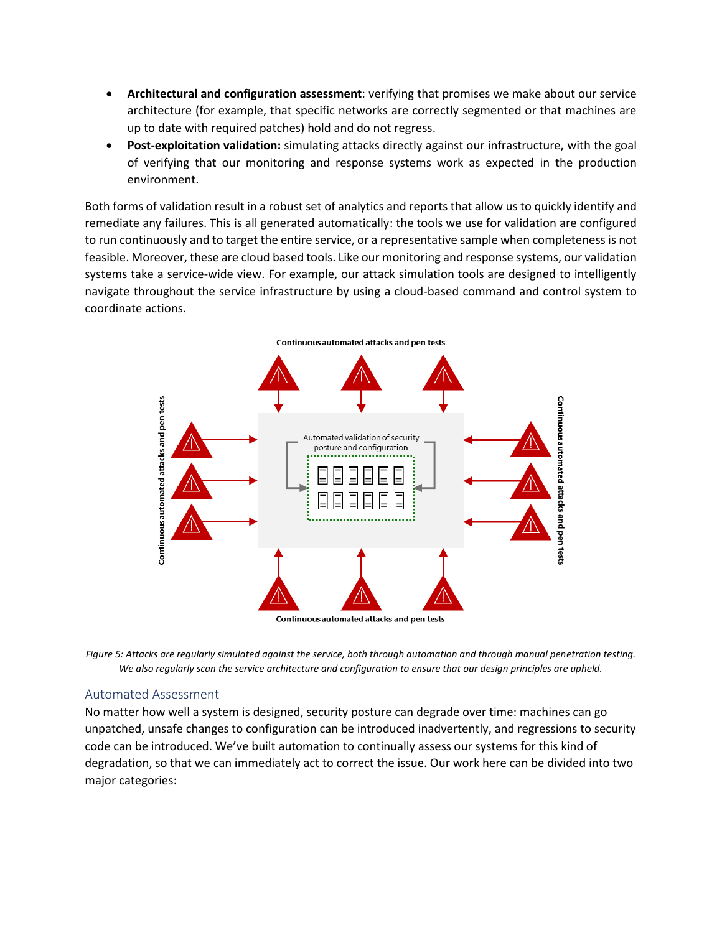- **Architectural and configuration assessment**: verifying that promises we make about our service architecture (for example, that specific networks are correctly segmented or that machines are up to date with required patches) hold and do not regress.
- **Post-exploitation validation:** simulating attacks directly against our infrastructure, with the goal of verifying that our monitoring and response systems work as expected in the production environment.

Both forms of validation result in a robust set of analytics and reports that allow us to quickly identify and remediate any failures. This is all generated automatically: the tools we use for validation are configured to run continuously and to target the entire service, or a representative sample when completeness is not feasible. Moreover, these are cloud based tools. Like our monitoring and response systems, our validation systems take a service-wide view. For example, our attack simulation tools are designed to intelligently navigate throughout the service infrastructure by using a cloud-based command and control system to coordinate actions.



Figure 5: Attacks are regularly simulated against the service, both through automation and through manual penetration testing. *We also regularly scan the service architecture and configuration to ensure that our design principles are upheld.*

#### <span id="page-10-0"></span>Automated Assessment

No matter how well a system is designed, security posture can degrade over time: machines can go unpatched, unsafe changes to configuration can be introduced inadvertently, and regressions to security code can be introduced. We've built automation to continually assess our systems for this kind of degradation, so that we can immediately act to correct the issue. Our work here can be divided into two major categories: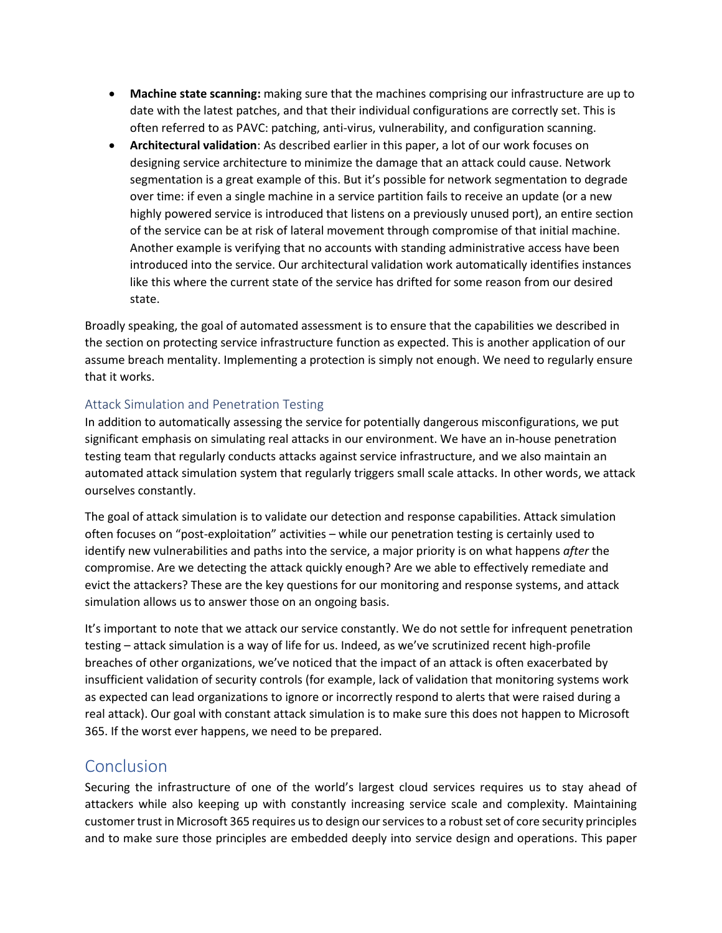- **Machine state scanning:** making sure that the machines comprising our infrastructure are up to date with the latest patches, and that their individual configurations are correctly set. This is often referred to as PAVC: patching, anti-virus, vulnerability, and configuration scanning.
- **Architectural validation**: As described earlier in this paper, a lot of our work focuses on designing service architecture to minimize the damage that an attack could cause. Network segmentation is a great example of this. But it's possible for network segmentation to degrade over time: if even a single machine in a service partition fails to receive an update (or a new highly powered service is introduced that listens on a previously unused port), an entire section of the service can be at risk of lateral movement through compromise of that initial machine. Another example is verifying that no accounts with standing administrative access have been introduced into the service. Our architectural validation work automatically identifies instances like this where the current state of the service has drifted for some reason from our desired state.

Broadly speaking, the goal of automated assessment is to ensure that the capabilities we described in the section on protecting service infrastructure function as expected. This is another application of our assume breach mentality. Implementing a protection is simply not enough. We need to regularly ensure that it works.

#### <span id="page-11-0"></span>Attack Simulation and Penetration Testing

In addition to automatically assessing the service for potentially dangerous misconfigurations, we put significant emphasis on simulating real attacks in our environment. We have an in-house penetration testing team that regularly conducts attacks against service infrastructure, and we also maintain an automated attack simulation system that regularly triggers small scale attacks. In other words, we attack ourselves constantly.

The goal of attack simulation is to validate our detection and response capabilities. Attack simulation often focuses on "post-exploitation" activities – while our penetration testing is certainly used to identify new vulnerabilities and paths into the service, a major priority is on what happens *after* the compromise. Are we detecting the attack quickly enough? Are we able to effectively remediate and evict the attackers? These are the key questions for our monitoring and response systems, and attack simulation allows us to answer those on an ongoing basis.

It's important to note that we attack our service constantly. We do not settle for infrequent penetration testing – attack simulation is a way of life for us. Indeed, as we've scrutinized recent high-profile breaches of other organizations, we've noticed that the impact of an attack is often exacerbated by insufficient validation of security controls (for example, lack of validation that monitoring systems work as expected can lead organizations to ignore or incorrectly respond to alerts that were raised during a real attack). Our goal with constant attack simulation is to make sure this does not happen to Microsoft 365. If the worst ever happens, we need to be prepared.

### <span id="page-11-1"></span>Conclusion

Securing the infrastructure of one of the world's largest cloud services requires us to stay ahead of attackers while also keeping up with constantly increasing service scale and complexity. Maintaining customer trust in Microsoft 365 requires us to design our services to a robust set of core security principles and to make sure those principles are embedded deeply into service design and operations. This paper